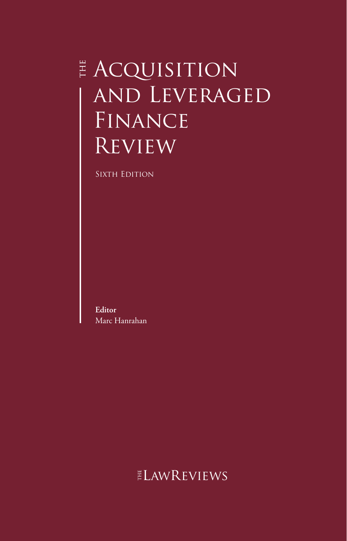# **E ACQUISITION** and Leveraged FINANCE Review

SIXTH EDITION

**Editor** Marc Hanrahan

ELAWREVIEWS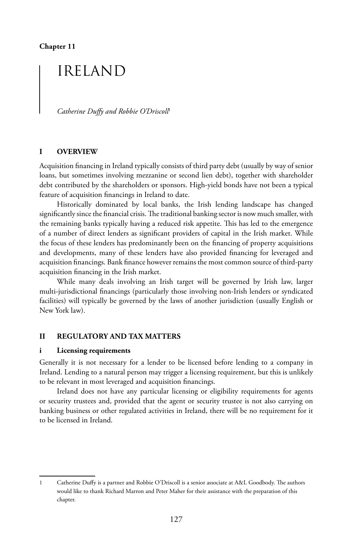**Chapter 11**

# IRELAND

*Catherine Duffy and Robbie O'Driscoll*<sup>1</sup>

### **I OVERVIEW**

Acquisition financing in Ireland typically consists of third party debt (usually by way of senior loans, but sometimes involving mezzanine or second lien debt), together with shareholder debt contributed by the shareholders or sponsors. High-yield bonds have not been a typical feature of acquisition financings in Ireland to date.

Historically dominated by local banks, the Irish lending landscape has changed significantly since the financial crisis. The traditional banking sector is now much smaller, with the remaining banks typically having a reduced risk appetite. This has led to the emergence of a number of direct lenders as significant providers of capital in the Irish market. While the focus of these lenders has predominantly been on the financing of property acquisitions and developments, many of these lenders have also provided financing for leveraged and acquisition financings. Bank finance however remains the most common source of third-party acquisition financing in the Irish market.

While many deals involving an Irish target will be governed by Irish law, larger multi-jurisdictional financings (particularly those involving non-Irish lenders or syndicated facilities) will typically be governed by the laws of another jurisdiction (usually English or New York law).

#### **II REGULATORY AND TAX MATTERS**

#### **i Licensing requirements**

Generally it is not necessary for a lender to be licensed before lending to a company in Ireland. Lending to a natural person may trigger a licensing requirement, but this is unlikely to be relevant in most leveraged and acquisition financings.

Ireland does not have any particular licensing or eligibility requirements for agents or security trustees and, provided that the agent or security trustee is not also carrying on banking business or other regulated activities in Ireland, there will be no requirement for it to be licensed in Ireland.

<sup>1</sup> Catherine Duffy is a partner and Robbie O'Driscoll is a senior associate at A&L Goodbody. The authors would like to thank Richard Marron and Peter Maher for their assistance with the preparation of this chapter.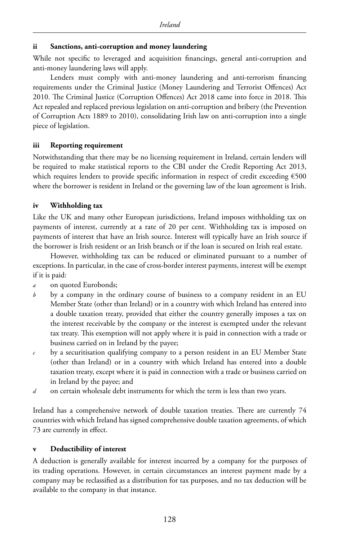# **ii Sanctions, anti-corruption and money laundering**

While not specific to leveraged and acquisition financings, general anti-corruption and anti-money laundering laws will apply.

Lenders must comply with anti-money laundering and anti-terrorism financing requirements under the Criminal Justice (Money Laundering and Terrorist Offences) Act 2010. The Criminal Justice (Corruption Offences) Act 2018 came into force in 2018. This Act repealed and replaced previous legislation on anti-corruption and bribery (the Prevention of Corruption Acts 1889 to 2010), consolidating Irish law on anti-corruption into a single piece of legislation.

# **iii Reporting requirement**

Notwithstanding that there may be no licensing requirement in Ireland, certain lenders will be required to make statistical reports to the CBI under the Credit Reporting Act 2013, which requires lenders to provide specific information in respect of credit exceeding €500 where the borrower is resident in Ireland or the governing law of the loan agreement is Irish.

# **iv Withholding tax**

Like the UK and many other European jurisdictions, Ireland imposes withholding tax on payments of interest, currently at a rate of 20 per cent. Withholding tax is imposed on payments of interest that have an Irish source. Interest will typically have an Irish source if the borrower is Irish resident or an Irish branch or if the loan is secured on Irish real estate.

However, withholding tax can be reduced or eliminated pursuant to a number of exceptions. In particular, in the case of cross-border interest payments, interest will be exempt if it is paid:

- *a* on quoted Eurobonds;
- *b* by a company in the ordinary course of business to a company resident in an EU Member State (other than Ireland) or in a country with which Ireland has entered into a double taxation treaty, provided that either the country generally imposes a tax on the interest receivable by the company or the interest is exempted under the relevant tax treaty. This exemption will not apply where it is paid in connection with a trade or business carried on in Ireland by the payee;
- *c* by a securitisation qualifying company to a person resident in an EU Member State (other than Ireland) or in a country with which Ireland has entered into a double taxation treaty, except where it is paid in connection with a trade or business carried on in Ireland by the payee; and
- *d* on certain wholesale debt instruments for which the term is less than two years.

Ireland has a comprehensive network of double taxation treaties. There are currently 74 countries with which Ireland has signed comprehensive double taxation agreements, of which 73 are currently in effect.

# **v Deductibility of interest**

A deduction is generally available for interest incurred by a company for the purposes of its trading operations. However, in certain circumstances an interest payment made by a company may be reclassified as a distribution for tax purposes, and no tax deduction will be available to the company in that instance.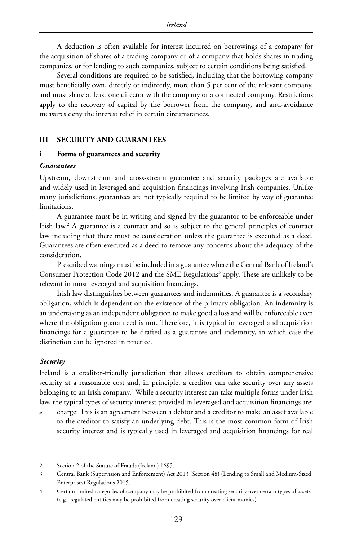A deduction is often available for interest incurred on borrowings of a company for the acquisition of shares of a trading company or of a company that holds shares in trading companies, or for lending to such companies, subject to certain conditions being satisfied.

Several conditions are required to be satisfied, including that the borrowing company must beneficially own, directly or indirectly, more than 5 per cent of the relevant company, and must share at least one director with the company or a connected company. Restrictions apply to the recovery of capital by the borrower from the company, and anti-avoidance measures deny the interest relief in certain circumstances.

#### **III SECURITY AND GUARANTEES**

#### **i Forms of guarantees and security**

#### *Guarantees*

Upstream, downstream and cross-stream guarantee and security packages are available and widely used in leveraged and acquisition financings involving Irish companies. Unlike many jurisdictions, guarantees are not typically required to be limited by way of guarantee limitations.

A guarantee must be in writing and signed by the guarantor to be enforceable under Irish law.2 A guarantee is a contract and so is subject to the general principles of contract law including that there must be consideration unless the guarantee is executed as a deed. Guarantees are often executed as a deed to remove any concerns about the adequacy of the consideration.

Prescribed warnings must be included in a guarantee where the Central Bank of Ireland's Consumer Protection Code 2012 and the SME Regulations<sup>3</sup> apply. These are unlikely to be relevant in most leveraged and acquisition financings.

Irish law distinguishes between guarantees and indemnities. A guarantee is a secondary obligation, which is dependent on the existence of the primary obligation. An indemnity is an undertaking as an independent obligation to make good a loss and will be enforceable even where the obligation guaranteed is not. Therefore, it is typical in leveraged and acquisition financings for a guarantee to be drafted as a guarantee and indemnity, in which case the distinction can be ignored in practice.

#### *Security*

Ireland is a creditor-friendly jurisdiction that allows creditors to obtain comprehensive security at a reasonable cost and, in principle, a creditor can take security over any assets belonging to an Irish company.4 While a security interest can take multiple forms under Irish law, the typical types of security interest provided in leveraged and acquisition financings are:

*a* charge: This is an agreement between a debtor and a creditor to make an asset available to the creditor to satisfy an underlying debt. This is the most common form of Irish security interest and is typically used in leveraged and acquisition financings for real

<sup>2</sup> Section 2 of the Statute of Frauds (Ireland) 1695.

<sup>3</sup> Central Bank (Supervision and Enforcement) Act 2013 (Section 48) (Lending to Small and Medium-Sized Enterprises) Regulations 2015.

<sup>4</sup> Certain limited categories of company may be prohibited from creating security over certain types of assets (e.g., regulated entities may be prohibited from creating security over client monies).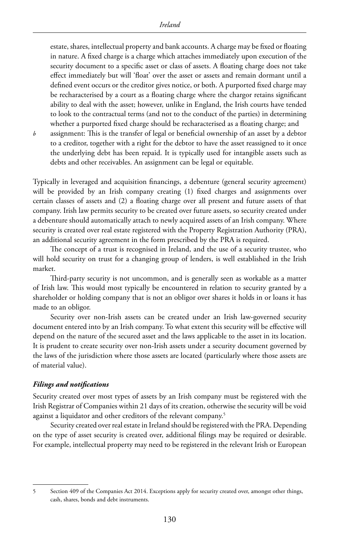estate, shares, intellectual property and bank accounts. A charge may be fixed or floating in nature. A fixed charge is a charge which attaches immediately upon execution of the security document to a specific asset or class of assets. A floating charge does not take effect immediately but will 'float' over the asset or assets and remain dormant until a defined event occurs or the creditor gives notice, or both. A purported fixed charge may be recharacterised by a court as a floating charge where the chargor retains significant ability to deal with the asset; however, unlike in England, the Irish courts have tended to look to the contractual terms (and not to the conduct of the parties) in determining whether a purported fixed charge should be recharacterised as a floating charge; and

*b* assignment: This is the transfer of legal or beneficial ownership of an asset by a debtor to a creditor, together with a right for the debtor to have the asset reassigned to it once the underlying debt has been repaid. It is typically used for intangible assets such as debts and other receivables. An assignment can be legal or equitable.

Typically in leveraged and acquisition financings, a debenture (general security agreement) will be provided by an Irish company creating (1) fixed charges and assignments over certain classes of assets and (2) a floating charge over all present and future assets of that company. Irish law permits security to be created over future assets, so security created under a debenture should automatically attach to newly acquired assets of an Irish company. Where security is created over real estate registered with the Property Registration Authority (PRA), an additional security agreement in the form prescribed by the PRA is required.

The concept of a trust is recognised in Ireland, and the use of a security trustee, who will hold security on trust for a changing group of lenders, is well established in the Irish market.

Third-party security is not uncommon, and is generally seen as workable as a matter of Irish law. This would most typically be encountered in relation to security granted by a shareholder or holding company that is not an obligor over shares it holds in or loans it has made to an obligor.

Security over non-Irish assets can be created under an Irish law-governed security document entered into by an Irish company. To what extent this security will be effective will depend on the nature of the secured asset and the laws applicable to the asset in its location. It is prudent to create security over non-Irish assets under a security document governed by the laws of the jurisdiction where those assets are located (particularly where those assets are of material value).

#### *Filings and notifications*

Security created over most types of assets by an Irish company must be registered with the Irish Registrar of Companies within 21 days of its creation, otherwise the security will be void against a liquidator and other creditors of the relevant company.<sup>5</sup>

Security created over real estate in Ireland should be registered with the PRA. Depending on the type of asset security is created over, additional filings may be required or desirable. For example, intellectual property may need to be registered in the relevant Irish or European

<sup>5</sup> Section 409 of the Companies Act 2014. Exceptions apply for security created over, amongst other things, cash, shares, bonds and debt instruments.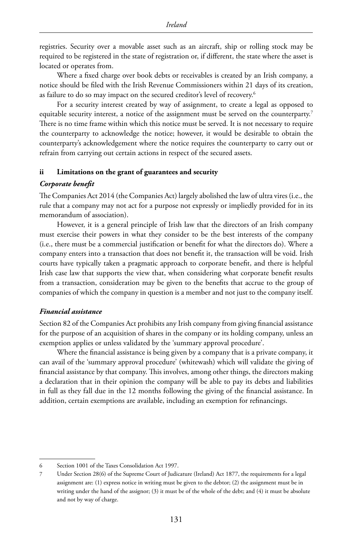registries. Security over a movable asset such as an aircraft, ship or rolling stock may be required to be registered in the state of registration or, if different, the state where the asset is located or operates from.

Where a fixed charge over book debts or receivables is created by an Irish company, a notice should be filed with the Irish Revenue Commissioners within 21 days of its creation, as failure to do so may impact on the secured creditor's level of recovery.<sup>6</sup>

For a security interest created by way of assignment, to create a legal as opposed to equitable security interest, a notice of the assignment must be served on the counterparty.<sup>7</sup> There is no time frame within which this notice must be served. It is not necessary to require the counterparty to acknowledge the notice; however, it would be desirable to obtain the counterparty's acknowledgement where the notice requires the counterparty to carry out or refrain from carrying out certain actions in respect of the secured assets.

#### **ii Limitations on the grant of guarantees and security**

#### *Corporate benefit*

The Companies Act 2014 (the Companies Act) largely abolished the law of ultra vires (i.e., the rule that a company may not act for a purpose not expressly or impliedly provided for in its memorandum of association).

However, it is a general principle of Irish law that the directors of an Irish company must exercise their powers in what they consider to be the best interests of the company (i.e., there must be a commercial justification or benefit for what the directors do). Where a company enters into a transaction that does not benefit it, the transaction will be void. Irish courts have typically taken a pragmatic approach to corporate benefit, and there is helpful Irish case law that supports the view that, when considering what corporate benefit results from a transaction, consideration may be given to the benefits that accrue to the group of companies of which the company in question is a member and not just to the company itself.

#### *Financial assistance*

Section 82 of the Companies Act prohibits any Irish company from giving financial assistance for the purpose of an acquisition of shares in the company or its holding company, unless an exemption applies or unless validated by the 'summary approval procedure'.

Where the financial assistance is being given by a company that is a private company, it can avail of the 'summary approval procedure' (whitewash) which will validate the giving of financial assistance by that company. This involves, among other things, the directors making a declaration that in their opinion the company will be able to pay its debts and liabilities in full as they fall due in the 12 months following the giving of the financial assistance. In addition, certain exemptions are available, including an exemption for refinancings.

<sup>6</sup> Section 1001 of the Taxes Consolidation Act 1997.

<sup>7</sup> Under Section 28(6) of the Supreme Court of Judicature (Ireland) Act 1877, the requirements for a legal assignment are: (1) express notice in writing must be given to the debtor; (2) the assignment must be in writing under the hand of the assignor; (3) it must be of the whole of the debt; and (4) it must be absolute and not by way of charge.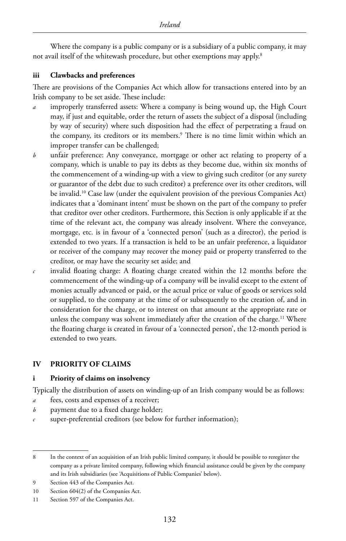Where the company is a public company or is a subsidiary of a public company, it may not avail itself of the whitewash procedure, but other exemptions may apply.8

### **iii Clawbacks and preferences**

There are provisions of the Companies Act which allow for transactions entered into by an Irish company to be set aside. These include:

- *a* improperly transferred assets: Where a company is being wound up, the High Court may, if just and equitable, order the return of assets the subject of a disposal (including by way of security) where such disposition had the effect of perpetrating a fraud on the company, its creditors or its members.9 There is no time limit within which an improper transfer can be challenged;
- *b* unfair preference: Any conveyance, mortgage or other act relating to property of a company, which is unable to pay its debts as they become due, within six months of the commencement of a winding-up with a view to giving such creditor (or any surety or guarantor of the debt due to such creditor) a preference over its other creditors, will be invalid.10 Case law (under the equivalent provision of the previous Companies Act) indicates that a 'dominant intent' must be shown on the part of the company to prefer that creditor over other creditors. Furthermore, this Section is only applicable if at the time of the relevant act, the company was already insolvent. Where the conveyance, mortgage, etc. is in favour of a 'connected person' (such as a director), the period is extended to two years. If a transaction is held to be an unfair preference, a liquidator or receiver of the company may recover the money paid or property transferred to the creditor, or may have the security set aside; and
- *c* invalid floating charge: A floating charge created within the 12 months before the commencement of the winding-up of a company will be invalid except to the extent of monies actually advanced or paid, or the actual price or value of goods or services sold or supplied, to the company at the time of or subsequently to the creation of, and in consideration for the charge, or to interest on that amount at the appropriate rate or unless the company was solvent immediately after the creation of the charge.<sup>11</sup> Where the floating charge is created in favour of a 'connected person', the 12-month period is extended to two years.

# **IV PRIORITY OF CLAIMS**

#### **i Priority of claims on insolvency**

Typically the distribution of assets on winding-up of an Irish company would be as follows:

- *a* fees, costs and expenses of a receiver;
- *b* payment due to a fixed charge holder;
- *c* super-preferential creditors (see below for further information);

<sup>8</sup> In the context of an acquisition of an Irish public limited company, it should be possible to reregister the company as a private limited company, following which financial assistance could be given by the company and its Irish subsidiaries (see 'Acquisitions of Public Companies' below).

<sup>9</sup> Section 443 of the Companies Act.

<sup>10</sup> Section 604(2) of the Companies Act.

<sup>11</sup> Section 597 of the Companies Act.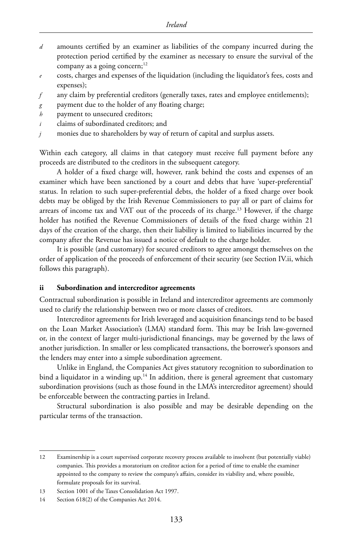- *d* amounts certified by an examiner as liabilities of the company incurred during the protection period certified by the examiner as necessary to ensure the survival of the company as a going concern; $12$
- *e* costs, charges and expenses of the liquidation (including the liquidator's fees, costs and expenses);
- *f* any claim by preferential creditors (generally taxes, rates and employee entitlements);
- *g* payment due to the holder of any floating charge;
- *h* payment to unsecured creditors;
- *i* claims of subordinated creditors; and
- *j* monies due to shareholders by way of return of capital and surplus assets.

Within each category, all claims in that category must receive full payment before any proceeds are distributed to the creditors in the subsequent category.

A holder of a fixed charge will, however, rank behind the costs and expenses of an examiner which have been sanctioned by a court and debts that have 'super-preferential' status. In relation to such super-preferential debts, the holder of a fixed charge over book debts may be obliged by the Irish Revenue Commissioners to pay all or part of claims for arrears of income tax and VAT out of the proceeds of its charge.<sup>13</sup> However, if the charge holder has notified the Revenue Commissioners of details of the fixed charge within 21 days of the creation of the charge, then their liability is limited to liabilities incurred by the company after the Revenue has issued a notice of default to the charge holder.

It is possible (and customary) for secured creditors to agree amongst themselves on the order of application of the proceeds of enforcement of their security (see Section IV.ii, which follows this paragraph).

#### **ii Subordination and intercreditor agreements**

Contractual subordination is possible in Ireland and intercreditor agreements are commonly used to clarify the relationship between two or more classes of creditors.

Intercreditor agreements for Irish leveraged and acquisition financings tend to be based on the Loan Market Association's (LMA) standard form. This may be Irish law-governed or, in the context of larger multi-jurisdictional financings, may be governed by the laws of another jurisdiction. In smaller or less complicated transactions, the borrower's sponsors and the lenders may enter into a simple subordination agreement.

Unlike in England, the Companies Act gives statutory recognition to subordination to bind a liquidator in a winding up.<sup>14</sup> In addition, there is general agreement that customary subordination provisions (such as those found in the LMA's intercreditor agreement) should be enforceable between the contracting parties in Ireland.

Structural subordination is also possible and may be desirable depending on the particular terms of the transaction.

<sup>12</sup> Examinership is a court supervised corporate recovery process available to insolvent (but potentially viable) companies. This provides a moratorium on creditor action for a period of time to enable the examiner appointed to the company to review the company's affairs, consider its viability and, where possible, formulate proposals for its survival.

<sup>13</sup> Section 1001 of the Taxes Consolidation Act 1997.

<sup>14</sup> Section 618(2) of the Companies Act 2014.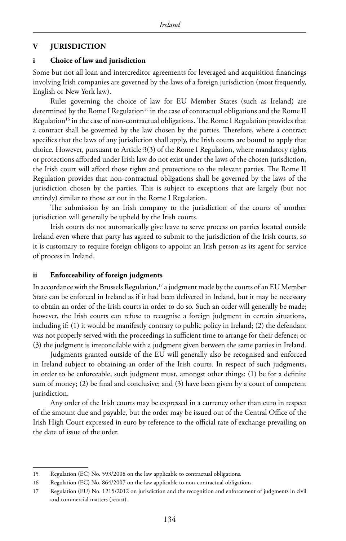#### **V JURISDICTION**

#### **i Choice of law and jurisdiction**

Some but not all loan and intercreditor agreements for leveraged and acquisition financings involving Irish companies are governed by the laws of a foreign jurisdiction (most frequently, English or New York law).

Rules governing the choice of law for EU Member States (such as Ireland) are determined by the Rome I Regulation<sup>15</sup> in the case of contractual obligations and the Rome II Regulation<sup>16</sup> in the case of non-contractual obligations. The Rome I Regulation provides that a contract shall be governed by the law chosen by the parties. Therefore, where a contract specifies that the laws of any jurisdiction shall apply, the Irish courts are bound to apply that choice. However, pursuant to Article 3(3) of the Rome I Regulation, where mandatory rights or protections afforded under Irish law do not exist under the laws of the chosen jurisdiction, the Irish court will afford those rights and protections to the relevant parties. The Rome II Regulation provides that non-contractual obligations shall be governed by the laws of the jurisdiction chosen by the parties. This is subject to exceptions that are largely (but not entirely) similar to those set out in the Rome I Regulation.

The submission by an Irish company to the jurisdiction of the courts of another jurisdiction will generally be upheld by the Irish courts.

Irish courts do not automatically give leave to serve process on parties located outside Ireland even where that party has agreed to submit to the jurisdiction of the Irish courts, so it is customary to require foreign obligors to appoint an Irish person as its agent for service of process in Ireland.

#### **ii Enforceability of foreign judgments**

In accordance with the Brussels Regulation,<sup>17</sup> a judgment made by the courts of an EU Member State can be enforced in Ireland as if it had been delivered in Ireland, but it may be necessary to obtain an order of the Irish courts in order to do so. Such an order will generally be made; however, the Irish courts can refuse to recognise a foreign judgment in certain situations, including if: (1) it would be manifestly contrary to public policy in Ireland; (2) the defendant was not properly served with the proceedings in sufficient time to arrange for their defence; or (3) the judgment is irreconcilable with a judgment given between the same parties in Ireland.

Judgments granted outside of the EU will generally also be recognised and enforced in Ireland subject to obtaining an order of the Irish courts. In respect of such judgments, in order to be enforceable, such judgment must, amongst other things: (1) be for a definite sum of money; (2) be final and conclusive; and (3) have been given by a court of competent jurisdiction.

Any order of the Irish courts may be expressed in a currency other than euro in respect of the amount due and payable, but the order may be issued out of the Central Office of the Irish High Court expressed in euro by reference to the official rate of exchange prevailing on the date of issue of the order.

<sup>15</sup> Regulation (EC) No. 593/2008 on the law applicable to contractual obligations.

<sup>16</sup> Regulation (EC) No. 864/2007 on the law applicable to non-contractual obligations.

<sup>17</sup> Regulation (EU) No. 1215/2012 on jurisdiction and the recognition and enforcement of judgments in civil and commercial matters (recast).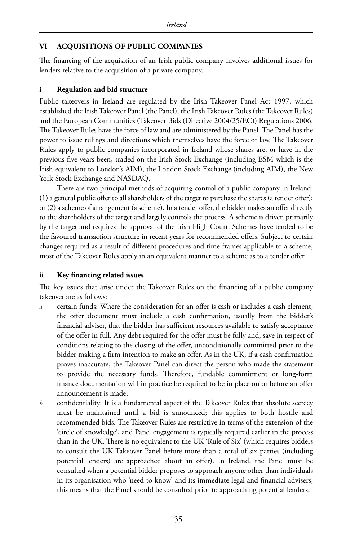# **VI ACQUISITIONS OF PUBLIC COMPANIES**

The financing of the acquisition of an Irish public company involves additional issues for lenders relative to the acquisition of a private company.

# **i Regulation and bid structure**

Public takeovers in Ireland are regulated by the Irish Takeover Panel Act 1997, which established the Irish Takeover Panel (the Panel), the Irish Takeover Rules (the Takeover Rules) and the European Communities (Takeover Bids (Directive 2004/25/EC)) Regulations 2006. The Takeover Rules have the force of law and are administered by the Panel. The Panel has the power to issue rulings and directions which themselves have the force of law. The Takeover Rules apply to public companies incorporated in Ireland whose shares are, or have in the previous five years been, traded on the Irish Stock Exchange (including ESM which is the Irish equivalent to London's AIM), the London Stock Exchange (including AIM), the New York Stock Exchange and NASDAQ.

There are two principal methods of acquiring control of a public company in Ireland: (1) a general public offer to all shareholders of the target to purchase the shares (a tender offer); or (2) a scheme of arrangement (a scheme). In a tender offer, the bidder makes an offer directly to the shareholders of the target and largely controls the process. A scheme is driven primarily by the target and requires the approval of the Irish High Court. Schemes have tended to be the favoured transaction structure in recent years for recommended offers. Subject to certain changes required as a result of different procedures and time frames applicable to a scheme, most of the Takeover Rules apply in an equivalent manner to a scheme as to a tender offer.

# **ii Key financing related issues**

The key issues that arise under the Takeover Rules on the financing of a public company takeover are as follows:

- *a* certain funds: Where the consideration for an offer is cash or includes a cash element, the offer document must include a cash confirmation, usually from the bidder's financial adviser, that the bidder has sufficient resources available to satisfy acceptance of the offer in full. Any debt required for the offer must be fully and, save in respect of conditions relating to the closing of the offer, unconditionally committed prior to the bidder making a firm intention to make an offer. As in the UK, if a cash confirmation proves inaccurate, the Takeover Panel can direct the person who made the statement to provide the necessary funds. Therefore, fundable commitment or long-form finance documentation will in practice be required to be in place on or before an offer announcement is made;
- *b* confidentiality: It is a fundamental aspect of the Takeover Rules that absolute secrecy must be maintained until a bid is announced; this applies to both hostile and recommended bids. The Takeover Rules are restrictive in terms of the extension of the 'circle of knowledge', and Panel engagement is typically required earlier in the process than in the UK. There is no equivalent to the UK 'Rule of Six' (which requires bidders to consult the UK Takeover Panel before more than a total of six parties (including potential lenders) are approached about an offer). In Ireland, the Panel must be consulted when a potential bidder proposes to approach anyone other than individuals in its organisation who 'need to know' and its immediate legal and financial advisers; this means that the Panel should be consulted prior to approaching potential lenders;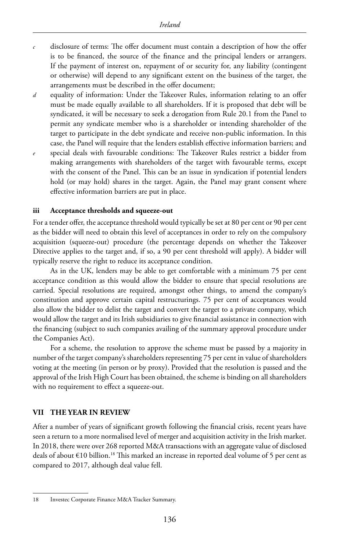- *c* disclosure of terms: The offer document must contain a description of how the offer is to be financed, the source of the finance and the principal lenders or arrangers. If the payment of interest on, repayment of or security for, any liability (contingent or otherwise) will depend to any significant extent on the business of the target, the arrangements must be described in the offer document;
- *d* equality of information: Under the Takeover Rules, information relating to an offer must be made equally available to all shareholders. If it is proposed that debt will be syndicated, it will be necessary to seek a derogation from Rule 20.1 from the Panel to permit any syndicate member who is a shareholder or intending shareholder of the target to participate in the debt syndicate and receive non-public information. In this case, the Panel will require that the lenders establish effective information barriers; and
- *e* special deals with favourable conditions: The Takeover Rules restrict a bidder from making arrangements with shareholders of the target with favourable terms, except with the consent of the Panel. This can be an issue in syndication if potential lenders hold (or may hold) shares in the target. Again, the Panel may grant consent where effective information barriers are put in place.

#### **iii Acceptance thresholds and squeeze-out**

For a tender offer, the acceptance threshold would typically be set at 80 per cent or 90 per cent as the bidder will need to obtain this level of acceptances in order to rely on the compulsory acquisition (squeeze-out) procedure (the percentage depends on whether the Takeover Directive applies to the target and, if so, a 90 per cent threshold will apply). A bidder will typically reserve the right to reduce its acceptance condition.

As in the UK, lenders may be able to get comfortable with a minimum 75 per cent acceptance condition as this would allow the bidder to ensure that special resolutions are carried. Special resolutions are required, amongst other things, to amend the company's constitution and approve certain capital restructurings. 75 per cent of acceptances would also allow the bidder to delist the target and convert the target to a private company, which would allow the target and its Irish subsidiaries to give financial assistance in connection with the financing (subject to such companies availing of the summary approval procedure under the Companies Act).

For a scheme, the resolution to approve the scheme must be passed by a majority in number of the target company's shareholders representing 75 per cent in value of shareholders voting at the meeting (in person or by proxy). Provided that the resolution is passed and the approval of the Irish High Court has been obtained, the scheme is binding on all shareholders with no requirement to effect a squeeze-out.

#### **VII THE YEAR IN REVIEW**

After a number of years of significant growth following the financial crisis, recent years have seen a return to a more normalised level of merger and acquisition activity in the Irish market. In 2018, there were over 268 reported M&A transactions with an aggregate value of disclosed deals of about  $\epsilon$ 10 billion.<sup>18</sup> This marked an increase in reported deal volume of 5 per cent as compared to 2017, although deal value fell.

<sup>18</sup> Investec Corporate Finance M&A Tracker Summary.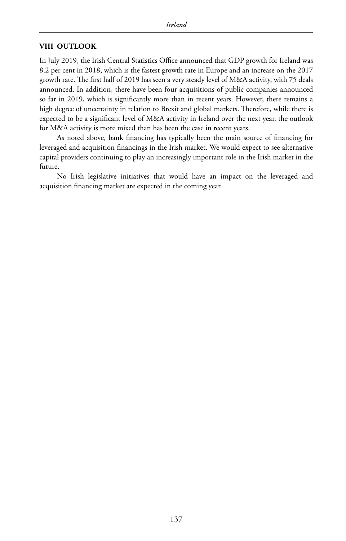# **VIII OUTLOOK**

In July 2019, the Irish Central Statistics Office announced that GDP growth for Ireland was 8.2 per cent in 2018, which is the fastest growth rate in Europe and an increase on the 2017 growth rate. The first half of 2019 has seen a very steady level of M&A activity, with 75 deals announced. In addition, there have been four acquisitions of public companies announced so far in 2019, which is significantly more than in recent years. However, there remains a high degree of uncertainty in relation to Brexit and global markets. Therefore, while there is expected to be a significant level of M&A activity in Ireland over the next year, the outlook for M&A activity is more mixed than has been the case in recent years.

As noted above, bank financing has typically been the main source of financing for leveraged and acquisition financings in the Irish market. We would expect to see alternative capital providers continuing to play an increasingly important role in the Irish market in the future.

No Irish legislative initiatives that would have an impact on the leveraged and acquisition financing market are expected in the coming year.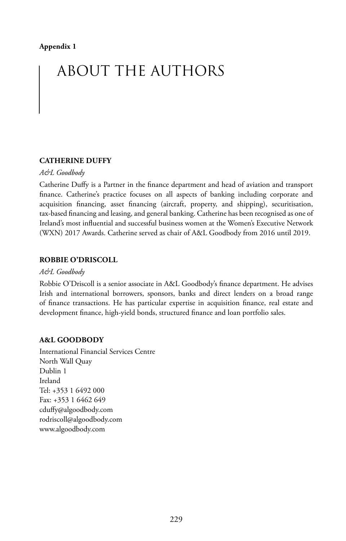# ABOUT THE AUTHORS

# **CATHERINE DUFFY**

#### *A&L Goodbody*

Catherine Duffy is a Partner in the finance department and head of aviation and transport finance. Catherine's practice focuses on all aspects of banking including corporate and acquisition financing, asset financing (aircraft, property, and shipping), securitisation, tax-based financing and leasing, and general banking. Catherine has been recognised as one of Ireland's most influential and successful business women at the Women's Executive Network (WXN) 2017 Awards. Catherine served as chair of A&L Goodbody from 2016 until 2019.

### **ROBBIE O'DRISCOLL**

#### *A&L Goodbody*

Robbie O'Driscoll is a senior associate in A&L Goodbody's finance department. He advises Irish and international borrowers, sponsors, banks and direct lenders on a broad range of finance transactions. He has particular expertise in acquisition finance, real estate and development finance, high-yield bonds, structured finance and loan portfolio sales.

#### **A&L GOODBODY**

International Financial Services Centre North Wall Quay Dublin 1 Ireland Tel: +353 1 6492 000 Fax: +353 1 6462 649 cduffy@algoodbody.com rodriscoll@algoodbody.com www.algoodbody.com